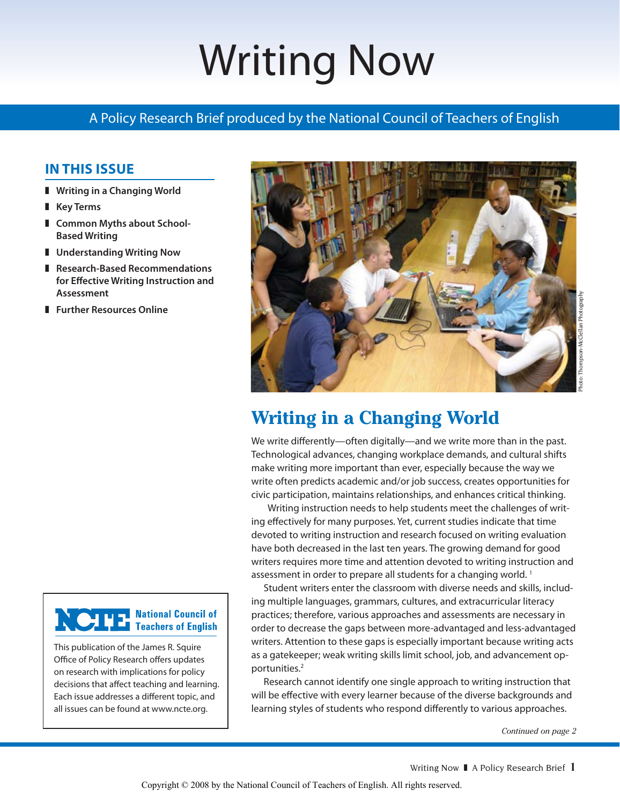# Writing Now

## A Policy Research Brief produced by the National Council of Teachers of English

## **In This Issue**

- **Writing in a Changing World**
- **Key Terms**
- **L** Common Myths about School-**Based Writing**
- **Understanding Writing Now**
- **Research-Based Recommendations for Effective Writing Instruction and Assessment**
- **Further Resources Online**



This publication of the James R. Squire Office of Policy Research offers updates on research with implications for policy decisions that affect teaching and learning. Each issue addresses a different topic, and all issues can be found at www.ncte.org.



# **Writing in a Changing World**

We write differently—often digitally—and we write more than in the past. Technological advances, changing workplace demands, and cultural shifts make writing more important than ever, especially because the way we write often predicts academic and/or job success, creates opportunities for civic participation, maintains relationships, and enhances critical thinking.

 Writing instruction needs to help students meet the challenges of writing effectively for many purposes. Yet, current studies indicate that time devoted to writing instruction and research focused on writing evaluation have both decreased in the last ten years. The growing demand for good writers requires more time and attention devoted to writing instruction and assessment in order to prepare all students for a changing world.<sup>1</sup>

Student writers enter the classroom with diverse needs and skills, including multiple languages, grammars, cultures, and extracurricular literacy practices; therefore, various approaches and assessments are necessary in order to decrease the gaps between more-advantaged and less-advantaged writers. Attention to these gaps is especially important because writing acts as a gatekeeper; weak writing skills limit school, job, and advancement opportunities.<sup>2</sup>

Research cannot identify one single approach to writing instruction that will be effective with every learner because of the diverse backgrounds and learning styles of students who respond differently to various approaches.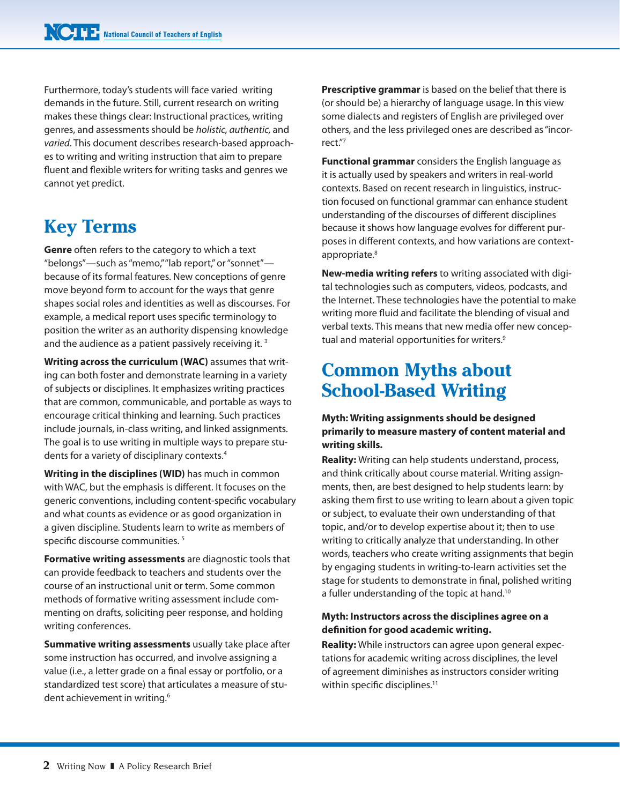Furthermore, today's students will face varied writing demands in the future. Still, current research on writing makes these things clear: Instructional practices, writing genres, and assessments should be *holistic, authentic,* and *varied*. This document describes research-based approaches to writing and writing instruction that aim to prepare fluent and flexible writers for writing tasks and genres we cannot yet predict.

# **Key Terms**

**Genre** often refers to the category to which a text "belongs"—such as "memo," "lab report," or "sonnet" because of its formal features. New conceptions of genre move beyond form to account for the ways that genre shapes social roles and identities as well as discourses. For example, a medical report uses specific terminology to position the writer as an authority dispensing knowledge and the audience as a patient passively receiving it.<sup>3</sup>

**Writing across the curriculum (WAC)** assumes that writing can both foster and demonstrate learning in a variety of subjects or disciplines. It emphasizes writing practices that are common, communicable, and portable as ways to encourage critical thinking and learning. Such practices include journals, in-class writing, and linked assignments. The goal is to use writing in multiple ways to prepare students for a variety of disciplinary contexts.4

**Writing in the disciplines (WID)** has much in common with WAC, but the emphasis is different. It focuses on the generic conventions, including content-specific vocabulary and what counts as evidence or as good organization in a given discipline. Students learn to write as members of specific discourse communities. 5

**Formative writing assessments** are diagnostic tools that can provide feedback to teachers and students over the course of an instructional unit or term. Some common methods of formative writing assessment include commenting on drafts, soliciting peer response, and holding writing conferences.

**Summative writing assessments** usually take place after some instruction has occurred, and involve assigning a value (i.e., a letter grade on a final essay or portfolio, or a standardized test score) that articulates a measure of student achievement in writing.<sup>6</sup>

**Prescriptive grammar** is based on the belief that there is (or should be) a hierarchy of language usage. In this view some dialects and registers of English are privileged over others, and the less privileged ones are described as "incorrect."7

**Functional grammar** considers the English language as it is actually used by speakers and writers in real-world contexts. Based on recent research in linguistics, instruction focused on functional grammar can enhance student understanding of the discourses of different disciplines because it shows how language evolves for different purposes in different contexts, and how variations are contextappropriate.<sup>8</sup>

**New-media writing refers** to writing associated with digital technologies such as computers, videos, podcasts, and the Internet. These technologies have the potential to make writing more fluid and facilitate the blending of visual and verbal texts. This means that new media offer new conceptual and material opportunities for writers.<sup>9</sup>

## **Common Myths about School-Based Writing**

## **Myth: Writing assignments should be designed primarily to measure mastery of content material and writing skills.**

**Reality:** Writing can help students understand, process, and think critically about course material. Writing assignments, then, are best designed to help students learn: by asking them first to use writing to learn about a given topic or subject, to evaluate their own understanding of that topic, and/or to develop expertise about it; then to use writing to critically analyze that understanding. In other words, teachers who create writing assignments that begin by engaging students in writing-to-learn activities set the stage for students to demonstrate in final, polished writing a fuller understanding of the topic at hand.<sup>10</sup>

## **Myth: Instructors across the disciplines agree on a definition for good academic writing.**

**Reality:** While instructors can agree upon general expectations for academic writing across disciplines, the level of agreement diminishes as instructors consider writing within specific disciplines.<sup>11</sup>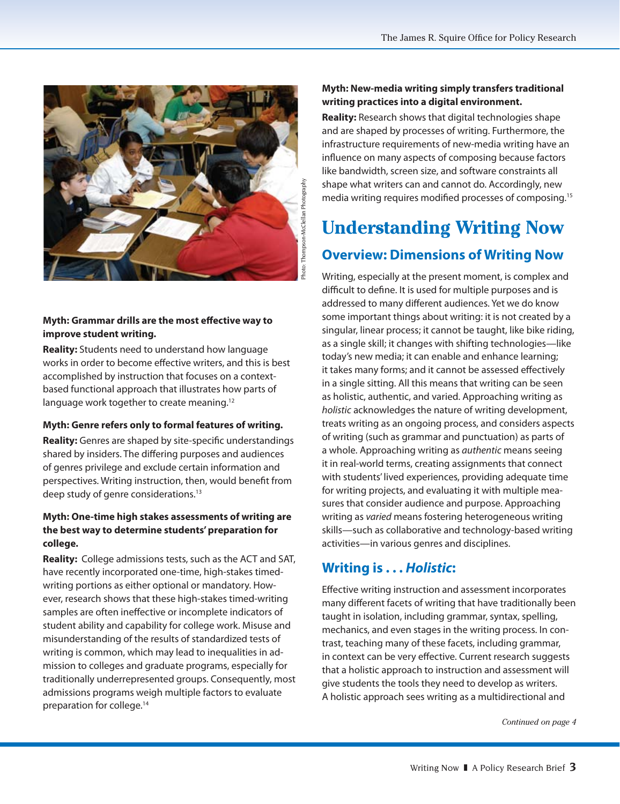

## **Myth: Grammar drills are the most effective way to improve student writing.**

**Reality:** Students need to understand how language works in order to become effective writers, and this is best accomplished by instruction that focuses on a contextbased functional approach that illustrates how parts of language work together to create meaning.<sup>12</sup>

#### **Myth: Genre refers only to formal features of writing.**

**Reality:** Genres are shaped by site-specific understandings shared by insiders. The differing purposes and audiences of genres privilege and exclude certain information and perspectives. Writing instruction, then, would benefit from deep study of genre considerations.<sup>13</sup>

## **Myth: One-time high stakes assessments of writing are the best way to determine students' preparation for college.**

**Reality:** College admissions tests, such as the ACT and SAT, have recently incorporated one-time, high-stakes timedwriting portions as either optional or mandatory. However, research shows that these high-stakes timed-writing samples are often ineffective or incomplete indicators of student ability and capability for college work. Misuse and misunderstanding of the results of standardized tests of writing is common, which may lead to inequalities in admission to colleges and graduate programs, especially for traditionally underrepresented groups. Consequently, most admissions programs weigh multiple factors to evaluate preparation for college.14

## **Myth: New-media writing simply transfers traditional writing practices into a digital environment.**

**Reality:** Research shows that digital technologies shape and are shaped by processes of writing. Furthermore, the infrastructure requirements of new-media writing have an influence on many aspects of composing because factors like bandwidth, screen size, and software constraints all shape what writers can and cannot do. Accordingly, new media writing requires modified processes of composing.15

# **Understanding Writing Now Overview: Dimensions of Writing Now**

Writing, especially at the present moment, is complex and difficult to define. It is used for multiple purposes and is addressed to many different audiences. Yet we do know some important things about writing: it is not created by a singular, linear process; it cannot be taught, like bike riding, as a single skill; it changes with shifting technologies—like today's new media; it can enable and enhance learning; it takes many forms; and it cannot be assessed effectively in a single sitting. All this means that writing can be seen as holistic, authentic, and varied. Approaching writing as *holistic* acknowledges the nature of writing development, treats writing as an ongoing process, and considers aspects of writing (such as grammar and punctuation) as parts of a whole. Approaching writing as *authentic* means seeing it in real-world terms, creating assignments that connect with students' lived experiences, providing adequate time for writing projects, and evaluating it with multiple measures that consider audience and purpose. Approaching writing as *varied* means fostering heterogeneous writing skills—such as collaborative and technology-based writing activities—in various genres and disciplines.

## **Writing is . . .** *Holistic***:**

Effective writing instruction and assessment incorporates many different facets of writing that have traditionally been taught in isolation, including grammar, syntax, spelling, mechanics, and even stages in the writing process. In contrast, teaching many of these facets, including grammar, in context can be very effective. Current research suggests that a holistic approach to instruction and assessment will give students the tools they need to develop as writers. A holistic approach sees writing as a multidirectional and

*Continued on page 4*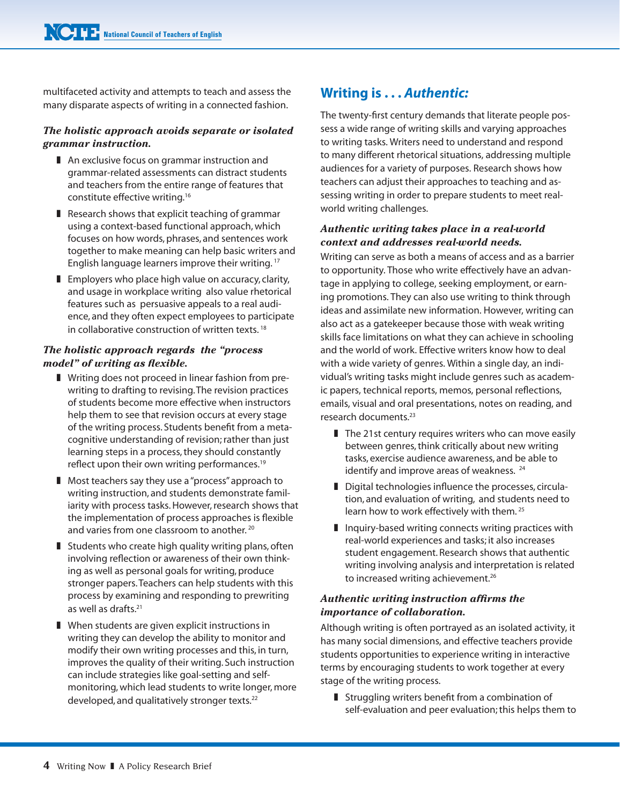multifaceted activity and attempts to teach and assess the many disparate aspects of writing in a connected fashion.

## *The holistic approach avoids separate or isolated grammar instruction.*

- $\blacksquare$  An exclusive focus on grammar instruction and grammar-related assessments can distract students and teachers from the entire range of features that constitute effective writing.<sup>16</sup>
- $\blacksquare$  Research shows that explicit teaching of grammar using a context-based functional approach, which focuses on how words, phrases, and sentences work together to make meaning can help basic writers and English language learners improve their writing. <sup>17</sup>
- $\blacksquare$  Employers who place high value on accuracy, clarity, and usage in workplace writing also value rhetorical features such as persuasive appeals to a real audience, and they often expect employees to participate in collaborative construction of written texts.<sup>18</sup>

## *The holistic approach regards the "process model" of writing as flexible.*

- **F** Writing does not proceed in linear fashion from prewriting to drafting to revising. The revision practices of students become more effective when instructors help them to see that revision occurs at every stage of the writing process. Students benefit from a metacognitive understanding of revision; rather than just learning steps in a process, they should constantly reflect upon their own writing performances.<sup>19</sup>
- **Nost teachers say they use a "process" approach to** writing instruction, and students demonstrate familiarity with process tasks. However, research shows that the implementation of process approaches is flexible and varies from one classroom to another.<sup>20</sup>
- $\blacksquare$  Students who create high quality writing plans, often involving reflection or awareness of their own thinking as well as personal goals for writing, produce stronger papers. Teachers can help students with this process by examining and responding to prewriting as well as drafts.<sup>21</sup>
- $\blacksquare$  When students are given explicit instructions in writing they can develop the ability to monitor and modify their own writing processes and this, in turn, improves the quality of their writing. Such instruction can include strategies like goal-setting and selfmonitoring, which lead students to write longer, more developed, and qualitatively stronger texts.<sup>22</sup>

## **Writing is . . .** *Authentic:*

The twenty-first century demands that literate people possess a wide range of writing skills and varying approaches to writing tasks. Writers need to understand and respond to many different rhetorical situations, addressing multiple audiences for a variety of purposes. Research shows how teachers can adjust their approaches to teaching and assessing writing in order to prepare students to meet realworld writing challenges.

## *Authentic writing takes place in a real-world context and addresses real-world needs.*

Writing can serve as both a means of access and as a barrier to opportunity. Those who write effectively have an advantage in applying to college, seeking employment, or earning promotions. They can also use writing to think through ideas and assimilate new information. However, writing can also act as a gatekeeper because those with weak writing skills face limitations on what they can achieve in schooling and the world of work. Effective writers know how to deal with a wide variety of genres. Within a single day, an individual's writing tasks might include genres such as academic papers, technical reports, memos, personal reflections, emails, visual and oral presentations, notes on reading, and research documents.23

- $\blacksquare$  The 21st century requires writers who can move easily between genres, think critically about new writing tasks, exercise audience awareness, and be able to identify and improve areas of weakness.<sup>24</sup>
- $\blacksquare$  Digital technologies influence the processes, circulation, and evaluation of writing, and students need to learn how to work effectively with them. <sup>25</sup>
- $\blacksquare$  Inquiry-based writing connects writing practices with real-world experiences and tasks; it also increases student engagement. Research shows that authentic writing involving analysis and interpretation is related to increased writing achievement.<sup>26</sup>

## *Authentic writing instruction affirms the importance of collaboration.*

Although writing is often portrayed as an isolated activity, it has many social dimensions, and effective teachers provide students opportunities to experience writing in interactive terms by encouraging students to work together at every stage of the writing process.

 $\blacksquare$  Struggling writers benefit from a combination of self-evaluation and peer evaluation; this helps them to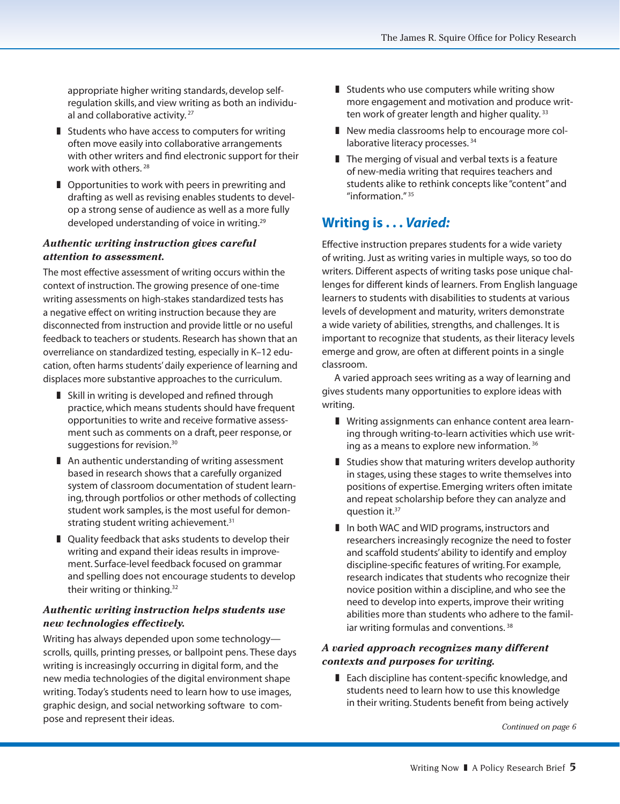appropriate higher writing standards, develop selfregulation skills, and view writing as both an individual and collaborative activity.<sup>27</sup>

- $\blacksquare$  Students who have access to computers for writing often move easily into collaborative arrangements with other writers and find electronic support for their work with others. <sup>28</sup>
- $\blacksquare$  Opportunities to work with peers in prewriting and drafting as well as revising enables students to develop a strong sense of audience as well as a more fully developed understanding of voice in writing.<sup>29</sup>

## *Authentic writing instruction gives careful attention to assessment.*

The most effective assessment of writing occurs within the context of instruction. The growing presence of one-time writing assessments on high-stakes standardized tests has a negative effect on writing instruction because they are disconnected from instruction and provide little or no useful feedback to teachers or students. Research has shown that an overreliance on standardized testing, especially in K–12 education, often harms students' daily experience of learning and displaces more substantive approaches to the curriculum.

- I Skill in writing is developed and refined through practice, which means students should have frequent opportunities to write and receive formative assessment such as comments on a draft, peer response, or suggestions for revision.<sup>30</sup>
- $\blacksquare$  An authentic understanding of writing assessment based in research shows that a carefully organized system of classroom documentation of student learning, through portfolios or other methods of collecting student work samples, is the most useful for demonstrating student writing achievement.<sup>31</sup>
- $\blacksquare$  Quality feedback that asks students to develop their writing and expand their ideas results in improvement. Surface-level feedback focused on grammar and spelling does not encourage students to develop their writing or thinking.<sup>32</sup>

## *Authentic writing instruction helps students use new technologies effectively.*

Writing has always depended upon some technology scrolls, quills, printing presses, or ballpoint pens. These days writing is increasingly occurring in digital form, and the new media technologies of the digital environment shape writing. Today's students need to learn how to use images, graphic design, and social networking software to compose and represent their ideas.

- $\blacksquare$  Students who use computers while writing show more engagement and motivation and produce written work of greater length and higher quality.<sup>33</sup>
- New media classrooms help to encourage more collaborative literacy processes.<sup>34</sup>
- $\blacksquare$  The merging of visual and verbal texts is a feature of new-media writing that requires teachers and students alike to rethink concepts like "content" and "information." <sup>35</sup>

## **Writing is . . .** *Varied:*

Effective instruction prepares students for a wide variety of writing. Just as writing varies in multiple ways, so too do writers. Different aspects of writing tasks pose unique challenges for different kinds of learners. From English language learners to students with disabilities to students at various levels of development and maturity, writers demonstrate a wide variety of abilities, strengths, and challenges. It is important to recognize that students, as their literacy levels emerge and grow, are often at different points in a single classroom.

A varied approach sees writing as a way of learning and gives students many opportunities to explore ideas with writing.

- **I** Writing assignments can enhance content area learning through writing-to-learn activities which use writing as a means to explore new information. <sup>36</sup>
- $\blacksquare$  Studies show that maturing writers develop authority in stages, using these stages to write themselves into positions of expertise. Emerging writers often imitate and repeat scholarship before they can analyze and question  $it.^{37}$
- I In both WAC and WID programs, instructors and researchers increasingly recognize the need to foster and scaffold students' ability to identify and employ discipline-specific features of writing. For example, research indicates that students who recognize their novice position within a discipline, and who see the need to develop into experts, improve their writing abilities more than students who adhere to the familiar writing formulas and conventions.<sup>38</sup>

#### *A varied approach recognizes many different contexts and purposes for writing.*

 $\blacksquare$  Each discipline has content-specific knowledge, and students need to learn how to use this knowledge in their writing. Students benefit from being actively

*Continued on page 6*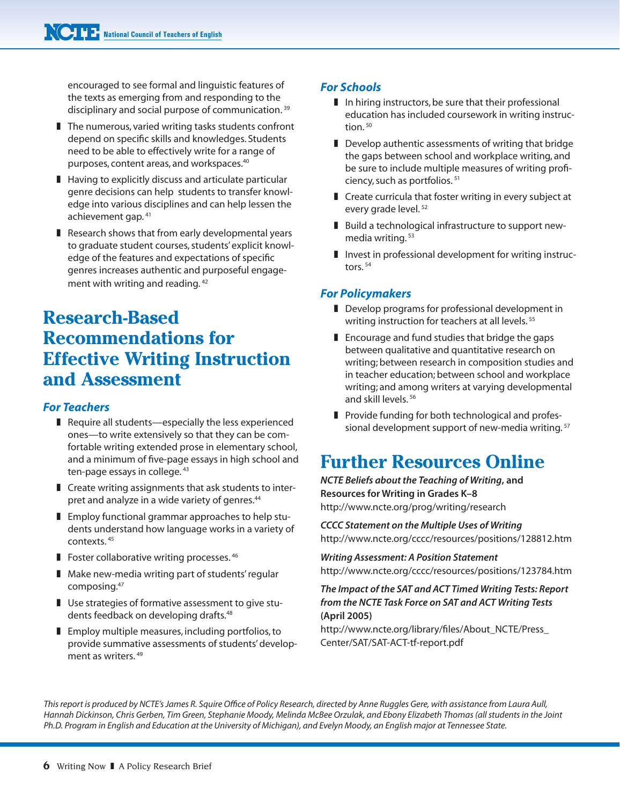encouraged to see formal and linguistic features of the texts as emerging from and responding to the disciplinary and social purpose of communication. <sup>39</sup>

- $\blacksquare$  The numerous, varied writing tasks students confront depend on specific skills and knowledges. Students need to be able to effectively write for a range of purposes, content areas, and workspaces.<sup>40</sup>
- $\blacksquare$  Having to explicitly discuss and articulate particular genre decisions can help students to transfer knowledge into various disciplines and can help lessen the achievement gap. <sup>41</sup>
- $\blacksquare$  Research shows that from early developmental years to graduate student courses, students' explicit knowledge of the features and expectations of specific genres increases authentic and purposeful engagement with writing and reading. <sup>42</sup>

# **Research-Based Recommendations for Effective Writing Instruction and Assessment**

## *For Teachers*

- $\blacksquare$  Require all students—especially the less experienced ones—to write extensively so that they can be comfortable writing extended prose in elementary school, and a minimum of five-page essays in high school and ten-page essays in college. 43
- $\blacksquare$  Create writing assignments that ask students to interpret and analyze in a wide variety of genres.<sup>44</sup>
- $\blacksquare$  Employ functional grammar approaches to help students understand how language works in a variety of contexts. <sup>45</sup>
- **Foster collaborative writing processes.**  $46$
- **I** Make new-media writing part of students' regular composing.<sup>47</sup>
- **I** Use strategies of formative assessment to give students feedback on developing drafts.<sup>48</sup>
- $\blacksquare$  Employ multiple measures, including portfolios, to provide summative assessments of students' development as writers. <sup>49</sup>

## *For Schools*

- $\blacksquare$  In hiring instructors, be sure that their professional education has included coursework in writing instruc $t$ ion $50$
- $\blacksquare$  Develop authentic assessments of writing that bridge the gaps between school and workplace writing, and be sure to include multiple measures of writing proficiency, such as portfolios. <sup>51</sup>
- $\blacksquare$  Create curricula that foster writing in every subject at every grade level. <sup>52</sup>
- Build a technological infrastructure to support newmedia writing. <sup>53</sup>
- $\blacksquare$  Invest in professional development for writing instructors. <sup>54</sup>

## *For Policymakers*

- Develop programs for professional development in writing instruction for teachers at all levels.<sup>55</sup>
- $\blacksquare$  Encourage and fund studies that bridge the gaps between qualitative and quantitative research on writing; between research in composition studies and in teacher education; between school and workplace writing; and among writers at varying developmental and skill levels. <sup>56</sup>
- **Provide funding for both technological and profes**sional development support of new-media writing. <sup>57</sup>

# **Further Resources Online**

*NCTE Beliefs about the Teaching of Writing***, and Resources for Writing in Grades K–8** http://www.ncte.org/prog/writing/research

*CCCC Statement on the Multiple Uses of Writing* http://www.ncte.org/cccc/resources/positions/128812.htm

*Writing Assessment: A Position Statement* http://www.ncte.org/cccc/resources/positions/123784.htm

#### *The Impact of the SAT and ACT Timed Writing Tests: Report from the NCTE Task Force on SAT and ACT Writing Tests*  **(April 2005)**

http://www.ncte.org/library/files/About\_NCTE/Press\_ Center/SAT/SAT-ACT-tf-report.pdf

*This report is produced by NCTE's James R. Squire Office of Policy Research, directed by Anne Ruggles Gere, with assistance from Laura Aull, Hannah Dickinson, Chris Gerben, Tim Green, Stephanie Moody, Melinda McBee Orzulak, and Ebony Elizabeth Thomas (all students in the Joint Ph.D. Program in English and Education at the University of Michigan), and Evelyn Moody, an English major at Tennessee State.*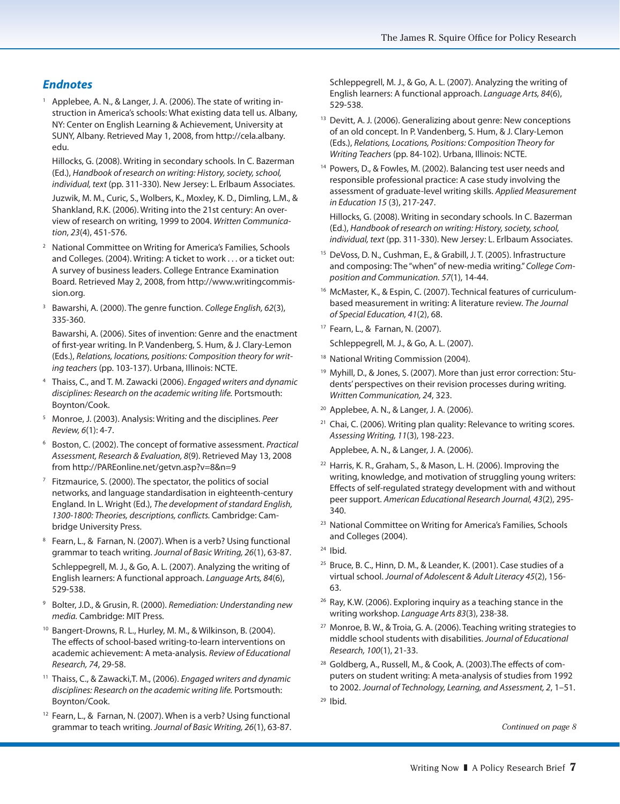## *Endnotes*

<sup>1</sup> Applebee, A. N., & Langer, J. A. (2006). The state of writing instruction in America's schools: What existing data tell us. Albany, NY: Center on English Learning & Achievement, University at SUNY, Albany. Retrieved May 1, 2008, from http://cela.albany. edu.

Hillocks, G. (2008). Writing in secondary schools. In C. Bazerman (Ed.), *Handbook of research on writing: History, society, school, individual, text* (pp. 311-330). New Jersey: L. Erlbaum Associates.

Juzwik, M. M., Curic, S., Wolbers, K., Moxley, K. D., Dimling, L.M., & Shankland, R.K. (2006). Writing into the 21st century: An overview of research on writing, 1999 to 2004. *Written Communication*, *23*(4), 451-576.

- 2 National Committee on Writing for America's Families, Schools and Colleges. (2004). Writing: A ticket to work . . . or a ticket out: A survey of business leaders. College Entrance Examination Board. Retrieved May 2, 2008, from http://www.writingcommission.org.
- 3 Bawarshi, A. (2000). The genre function. *College English, 62*(3), 335-360.

Bawarshi, A. (2006). Sites of invention: Genre and the enactment of first-year writing. In P. Vandenberg, S. Hum, & J. Clary-Lemon (Eds.), *Relations, locations, positions: Composition theory for writing teachers* (pp. 103-137). Urbana, Illinois: NCTE.

- 4 Thaiss, C., and T. M. Zawacki (2006). *Engaged writers and dynamic disciplines: Research on the academic writing life.* Portsmouth: Boynton/Cook.
- 5 Monroe, J. (2003). Analysis: Writing and the disciplines. *Peer Review, 6*(1): 4-7.
- 6 Boston, C. (2002). The concept of formative assessment. *Practical Assessment, Research & Evaluation, 8*(9). Retrieved May 13, 2008 from http://PAREonline.net/getvn.asp?v=8&n=9
- $7$  Fitzmaurice, S. (2000). The spectator, the politics of social networks, and language standardisation in eighteenth-century England. In L. Wright (Ed.), *The development of standard English, 1300-1800: Theories, descriptions, conflicts.* Cambridge: Cambridge University Press.
- <sup>8</sup> Fearn, L., & Farnan, N. (2007). When is a verb? Using functional grammar to teach writing. *Journal of Basic Writing, 26*(1), 63-87. Schleppegrell, M. J., & Go, A. L. (2007). Analyzing the writing of English learners: A functional approach. *Language Arts, 84*(6), 529-538.
- 9 Bolter, J.D., & Grusin, R. (2000). *Remediation: Understanding new media.* Cambridge: MIT Press.
- <sup>10</sup> Bangert-Drowns, R. L., Hurley, M. M., & Wilkinson, B. (2004). The effects of school-based writing-to-learn interventions on academic achievement: A meta-analysis. *Review of Educational Research, 74*, 29-58.
- 11 Thaiss, C., & Zawacki,T. M., (2006). *Engaged writers and dynamic disciplines: Research on the academic writing life.* Portsmouth: Boynton/Cook.
- <sup>12</sup> Fearn, L., & Farnan, N. (2007). When is a verb? Using functional grammar to teach writing. *Journal of Basic Writing, 26*(1), 63-87.

 Schleppegrell, M. J., & Go, A. L. (2007). Analyzing the writing of English learners: A functional approach. *Language Arts, 84*(6), 529-538.

- <sup>13</sup> Devitt, A. J. (2006). Generalizing about genre: New conceptions of an old concept. In P. Vandenberg, S. Hum, & J. Clary-Lemon (Eds.), *Relations, Locations, Positions: Composition Theory for Writing Teachers* (pp. 84-102). Urbana, Illinois: NCTE.
- <sup>14</sup> Powers, D., & Fowles, M. (2002). Balancing test user needs and responsible professional practice: A case study involving the assessment of graduate-level writing skills. *Applied Measurement in Education 15* (3), 217-247.

Hillocks, G. (2008). Writing in secondary schools. In C. Bazerman (Ed.), *Handbook of research on writing: History, society, school, individual, text* (pp. 311-330). New Jersey: L. Erlbaum Associates.

- 15 DeVoss, D. N., Cushman, E., & Grabill, J. T. (2005). Infrastructure and composing: The "when" of new-media writing." *College Composition and Communication. 57*(1), 14-44.
- <sup>16</sup> McMaster, K., & Espin, C. (2007). Technical features of curriculumbased measurement in writing: A literature review. *The Journal of Special Education, 41*(2), 68.
- 17 Fearn, L., & Farnan, N. (2007).
- Schleppegrell, M. J., & Go, A. L. (2007).
- <sup>18</sup> National Writing Commission (2004).
- 19 Myhill, D., & Jones, S. (2007). More than just error correction: Students' perspectives on their revision processes during writing. *Written Communication, 24*, 323.
- 20 Applebee, A. N., & Langer, J. A. (2006).
- $21$  Chai, C. (2006). Writing plan quality: Relevance to writing scores. *Assessing Writing, 11*(3), 198-223.
	- Applebee, A. N., & Langer, J. A. (2006).
- 22 Harris, K. R., Graham, S., & Mason, L. H. (2006). Improving the writing, knowledge, and motivation of struggling young writers: Effects of self-regulated strategy development with and without peer support. *American Educational Research Journal, 43*(2), 295- 340.
- 23 National Committee on Writing for America's Families, Schools and Colleges (2004).
- $24$  Ibid.
- <sup>25</sup> Bruce, B. C., Hinn, D. M., & Leander, K. (2001). Case studies of a virtual school. *Journal of Adolescent & Adult Literacy 45*(2), 156- 63.
- <sup>26</sup> Ray, K.W. (2006). Exploring inquiry as a teaching stance in the writing workshop. *Language Arts 83*(3), 238-38.
- 27 Monroe, B. W., & Troia, G. A. (2006). Teaching writing strategies to middle school students with disabilities. *Journal of Educational Research, 100*(1), 21-33.
- 28 Goldberg, A., Russell, M., & Cook, A. (2003).The effects of computers on student writing: A meta-analysis of studies from 1992 to 2002. *Journal of Technology, Learning, and Assessment, 2*, 1–51.
- $29$  Ibid.

*Continued on page 8*